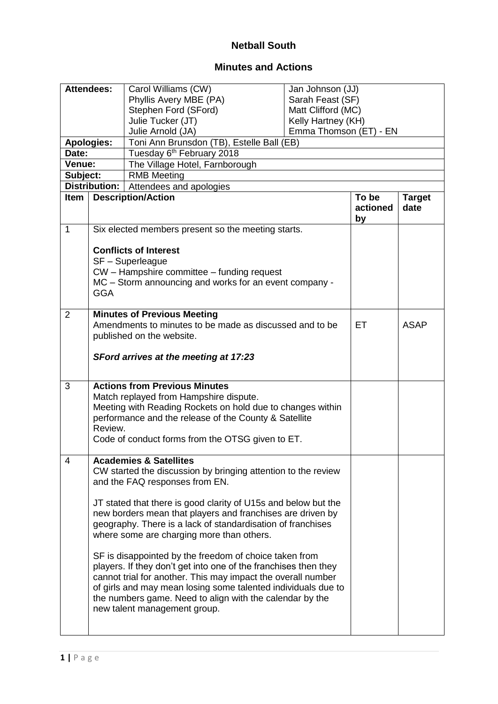## **Netball South**

## **Minutes and Actions**

| Attendees:     |                                                  | Carol Williams (CW)                                                                                  | Jan Johnson (JJ)       |          |               |
|----------------|--------------------------------------------------|------------------------------------------------------------------------------------------------------|------------------------|----------|---------------|
|                |                                                  | Phyllis Avery MBE (PA)                                                                               | Sarah Feast (SF)       |          |               |
|                |                                                  | Stephen Ford (SFord)                                                                                 | Matt Clifford (MC)     |          |               |
|                |                                                  | Julie Tucker (JT)                                                                                    | Kelly Hartney (KH)     |          |               |
|                |                                                  | Julie Arnold (JA)                                                                                    | Emma Thomson (ET) - EN |          |               |
|                | <b>Apologies:</b>                                | Toni Ann Brunsdon (TB), Estelle Ball (EB)                                                            |                        |          |               |
| Date:          |                                                  | Tuesday 6 <sup>th</sup> February 2018                                                                |                        |          |               |
| Venue:         |                                                  | The Village Hotel, Farnborough                                                                       |                        |          |               |
| Subject:       |                                                  | <b>RMB Meeting</b>                                                                                   |                        |          |               |
|                | Distribution:                                    | Attendees and apologies                                                                              |                        |          |               |
| <b>Item</b>    |                                                  | <b>Description/Action</b>                                                                            |                        | To be    | <b>Target</b> |
|                |                                                  |                                                                                                      |                        | actioned | date          |
|                |                                                  |                                                                                                      |                        | by       |               |
| 1              |                                                  | Six elected members present so the meeting starts.                                                   |                        |          |               |
|                |                                                  | <b>Conflicts of Interest</b>                                                                         |                        |          |               |
|                |                                                  |                                                                                                      |                        |          |               |
|                |                                                  | SF - Superleague                                                                                     |                        |          |               |
|                |                                                  | CW - Hampshire committee - funding request<br>MC - Storm announcing and works for an event company - |                        |          |               |
|                | <b>GGA</b>                                       |                                                                                                      |                        |          |               |
|                |                                                  |                                                                                                      |                        |          |               |
| $\overline{2}$ |                                                  | <b>Minutes of Previous Meeting</b>                                                                   |                        |          |               |
|                |                                                  | Amendments to minutes to be made as discussed and to be                                              |                        | ET       | <b>ASAP</b>   |
|                |                                                  | published on the website.                                                                            |                        |          |               |
|                |                                                  |                                                                                                      |                        |          |               |
|                |                                                  | SFord arrives at the meeting at 17:23                                                                |                        |          |               |
|                |                                                  |                                                                                                      |                        |          |               |
|                |                                                  |                                                                                                      |                        |          |               |
| 3              |                                                  | <b>Actions from Previous Minutes</b>                                                                 |                        |          |               |
|                |                                                  | Match replayed from Hampshire dispute.                                                               |                        |          |               |
|                |                                                  | Meeting with Reading Rockets on hold due to changes within                                           |                        |          |               |
|                |                                                  | performance and the release of the County & Satellite                                                |                        |          |               |
|                | Review.                                          |                                                                                                      |                        |          |               |
|                | Code of conduct forms from the OTSG given to ET. |                                                                                                      |                        |          |               |
|                |                                                  | <b>Academies &amp; Satellites</b>                                                                    |                        |          |               |
| 4              |                                                  | CW started the discussion by bringing attention to the review                                        |                        |          |               |
|                |                                                  | and the FAQ responses from EN.                                                                       |                        |          |               |
|                |                                                  |                                                                                                      |                        |          |               |
|                |                                                  | JT stated that there is good clarity of U15s and below but the                                       |                        |          |               |
|                |                                                  | new borders mean that players and franchises are driven by                                           |                        |          |               |
|                |                                                  | geography. There is a lack of standardisation of franchises                                          |                        |          |               |
|                | where some are charging more than others.        |                                                                                                      |                        |          |               |
|                |                                                  |                                                                                                      |                        |          |               |
|                |                                                  | SF is disappointed by the freedom of choice taken from                                               |                        |          |               |
|                |                                                  | players. If they don't get into one of the franchises then they                                      |                        |          |               |
|                |                                                  | cannot trial for another. This may impact the overall number                                         |                        |          |               |
|                |                                                  | of girls and may mean losing some talented individuals due to                                        |                        |          |               |
|                |                                                  | the numbers game. Need to align with the calendar by the                                             |                        |          |               |
|                | new talent management group.                     |                                                                                                      |                        |          |               |
|                |                                                  |                                                                                                      |                        |          |               |
|                |                                                  |                                                                                                      |                        |          |               |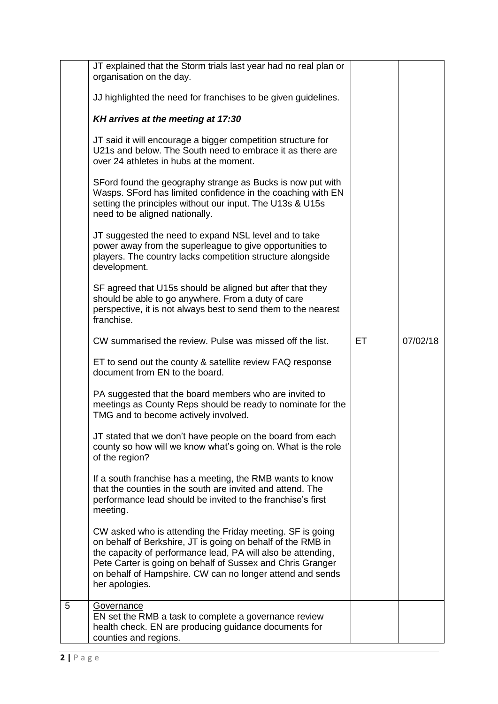|   | JT explained that the Storm trials last year had no real plan or<br>organisation on the day.                                                                                                                                                                                                                                          |     |          |
|---|---------------------------------------------------------------------------------------------------------------------------------------------------------------------------------------------------------------------------------------------------------------------------------------------------------------------------------------|-----|----------|
|   | JJ highlighted the need for franchises to be given guidelines.                                                                                                                                                                                                                                                                        |     |          |
|   | KH arrives at the meeting at 17:30                                                                                                                                                                                                                                                                                                    |     |          |
|   | JT said it will encourage a bigger competition structure for<br>U21s and below. The South need to embrace it as there are<br>over 24 athletes in hubs at the moment.                                                                                                                                                                  |     |          |
|   | SFord found the geography strange as Bucks is now put with<br>Wasps. SFord has limited confidence in the coaching with EN<br>setting the principles without our input. The U13s & U15s<br>need to be aligned nationally.                                                                                                              |     |          |
|   | JT suggested the need to expand NSL level and to take<br>power away from the superleague to give opportunities to<br>players. The country lacks competition structure alongside<br>development.                                                                                                                                       |     |          |
|   | SF agreed that U15s should be aligned but after that they<br>should be able to go anywhere. From a duty of care<br>perspective, it is not always best to send them to the nearest<br>franchise.                                                                                                                                       |     |          |
|   | CW summarised the review. Pulse was missed off the list.                                                                                                                                                                                                                                                                              | ET. | 07/02/18 |
|   | ET to send out the county & satellite review FAQ response<br>document from EN to the board.                                                                                                                                                                                                                                           |     |          |
|   | PA suggested that the board members who are invited to<br>meetings as County Reps should be ready to nominate for the<br>TMG and to become actively involved.                                                                                                                                                                         |     |          |
|   | JT stated that we don't have people on the board from each<br>county so how will we know what's going on. What is the role<br>of the region?                                                                                                                                                                                          |     |          |
|   | If a south franchise has a meeting, the RMB wants to know<br>that the counties in the south are invited and attend. The<br>performance lead should be invited to the franchise's first<br>meeting.                                                                                                                                    |     |          |
|   | CW asked who is attending the Friday meeting. SF is going<br>on behalf of Berkshire, JT is going on behalf of the RMB in<br>the capacity of performance lead, PA will also be attending,<br>Pete Carter is going on behalf of Sussex and Chris Granger<br>on behalf of Hampshire. CW can no longer attend and sends<br>her apologies. |     |          |
| 5 | Governance<br>EN set the RMB a task to complete a governance review<br>health check. EN are producing guidance documents for<br>counties and regions.                                                                                                                                                                                 |     |          |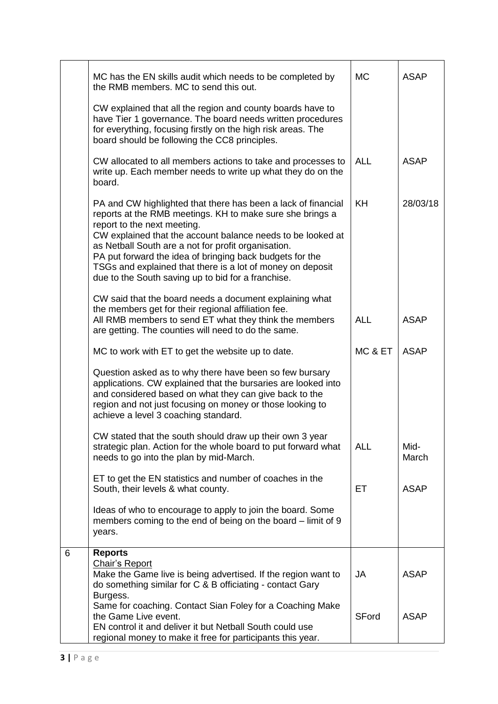|   | MC has the EN skills audit which needs to be completed by<br>the RMB members. MC to send this out.                                                                                                                                                                                                                                                                                                                                                              | <b>MC</b>    | <b>ASAP</b>   |
|---|-----------------------------------------------------------------------------------------------------------------------------------------------------------------------------------------------------------------------------------------------------------------------------------------------------------------------------------------------------------------------------------------------------------------------------------------------------------------|--------------|---------------|
|   | CW explained that all the region and county boards have to<br>have Tier 1 governance. The board needs written procedures<br>for everything, focusing firstly on the high risk areas. The<br>board should be following the CC8 principles.                                                                                                                                                                                                                       |              |               |
|   | CW allocated to all members actions to take and processes to<br>write up. Each member needs to write up what they do on the<br>board.                                                                                                                                                                                                                                                                                                                           | <b>ALL</b>   | <b>ASAP</b>   |
|   | PA and CW highlighted that there has been a lack of financial<br>reports at the RMB meetings. KH to make sure she brings a<br>report to the next meeting.<br>CW explained that the account balance needs to be looked at<br>as Netball South are a not for profit organisation.<br>PA put forward the idea of bringing back budgets for the<br>TSGs and explained that there is a lot of money on deposit<br>due to the South saving up to bid for a franchise. | <b>KH</b>    | 28/03/18      |
|   | CW said that the board needs a document explaining what<br>the members get for their regional affiliation fee.<br>All RMB members to send ET what they think the members<br>are getting. The counties will need to do the same.                                                                                                                                                                                                                                 | <b>ALL</b>   | <b>ASAP</b>   |
|   | MC to work with ET to get the website up to date.                                                                                                                                                                                                                                                                                                                                                                                                               | MC & ET      | <b>ASAP</b>   |
|   | Question asked as to why there have been so few bursary<br>applications. CW explained that the bursaries are looked into<br>and considered based on what they can give back to the<br>region and not just focusing on money or those looking to<br>achieve a level 3 coaching standard.                                                                                                                                                                         |              |               |
|   | CW stated that the south should draw up their own 3 year<br>strategic plan. Action for the whole board to put forward what<br>needs to go into the plan by mid-March.                                                                                                                                                                                                                                                                                           | <b>ALL</b>   | Mid-<br>March |
|   | ET to get the EN statistics and number of coaches in the<br>South, their levels & what county.                                                                                                                                                                                                                                                                                                                                                                  | ET           | <b>ASAP</b>   |
|   | Ideas of who to encourage to apply to join the board. Some<br>members coming to the end of being on the board – limit of 9<br>years.                                                                                                                                                                                                                                                                                                                            |              |               |
| 6 | <b>Reports</b><br><b>Chair's Report</b><br>Make the Game live is being advertised. If the region want to<br>do something similar for C & B officiating - contact Gary<br>Burgess.                                                                                                                                                                                                                                                                               | <b>JA</b>    | <b>ASAP</b>   |
|   | Same for coaching. Contact Sian Foley for a Coaching Make<br>the Game Live event.<br>EN control it and deliver it but Netball South could use<br>regional money to make it free for participants this year.                                                                                                                                                                                                                                                     | <b>SFord</b> | <b>ASAP</b>   |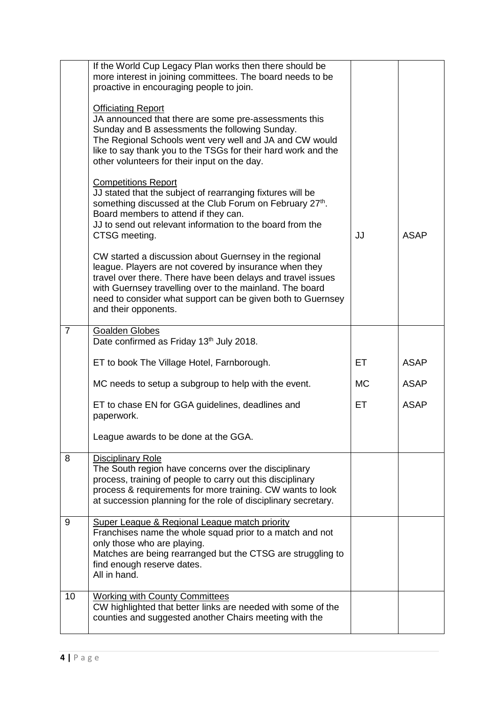|                | If the World Cup Legacy Plan works then there should be<br>more interest in joining committees. The board needs to be<br>proactive in encouraging people to join.<br><b>Officiating Report</b><br>JA announced that there are some pre-assessments this                                                                            |           |             |
|----------------|------------------------------------------------------------------------------------------------------------------------------------------------------------------------------------------------------------------------------------------------------------------------------------------------------------------------------------|-----------|-------------|
|                | Sunday and B assessments the following Sunday.<br>The Regional Schools went very well and JA and CW would<br>like to say thank you to the TSGs for their hard work and the<br>other volunteers for their input on the day.                                                                                                         |           |             |
|                | <b>Competitions Report</b><br>JJ stated that the subject of rearranging fixtures will be<br>something discussed at the Club Forum on February 27th.<br>Board members to attend if they can.<br>JJ to send out relevant information to the board from the<br>CTSG meeting.                                                          | JJ        | <b>ASAP</b> |
|                | CW started a discussion about Guernsey in the regional<br>league. Players are not covered by insurance when they<br>travel over there. There have been delays and travel issues<br>with Guernsey travelling over to the mainland. The board<br>need to consider what support can be given both to Guernsey<br>and their opponents. |           |             |
| $\overline{7}$ | <b>Goalden Globes</b><br>Date confirmed as Friday 13th July 2018.                                                                                                                                                                                                                                                                  |           |             |
|                | ET to book The Village Hotel, Farnborough.                                                                                                                                                                                                                                                                                         | ET        | <b>ASAP</b> |
|                | MC needs to setup a subgroup to help with the event.                                                                                                                                                                                                                                                                               | <b>MC</b> | <b>ASAP</b> |
|                | ET to chase EN for GGA guidelines, deadlines and<br>paperwork.                                                                                                                                                                                                                                                                     | ET        | <b>ASAP</b> |
|                | League awards to be done at the GGA.                                                                                                                                                                                                                                                                                               |           |             |
| 8              | <b>Disciplinary Role</b><br>The South region have concerns over the disciplinary<br>process, training of people to carry out this disciplinary<br>process & requirements for more training. CW wants to look<br>at succession planning for the role of disciplinary secretary.                                                     |           |             |
| 9              | Super League & Regional League match priority<br>Franchises name the whole squad prior to a match and not<br>only those who are playing.<br>Matches are being rearranged but the CTSG are struggling to<br>find enough reserve dates.<br>All in hand.                                                                              |           |             |
| 10             | <b>Working with County Committees</b><br>CW highlighted that better links are needed with some of the<br>counties and suggested another Chairs meeting with the                                                                                                                                                                    |           |             |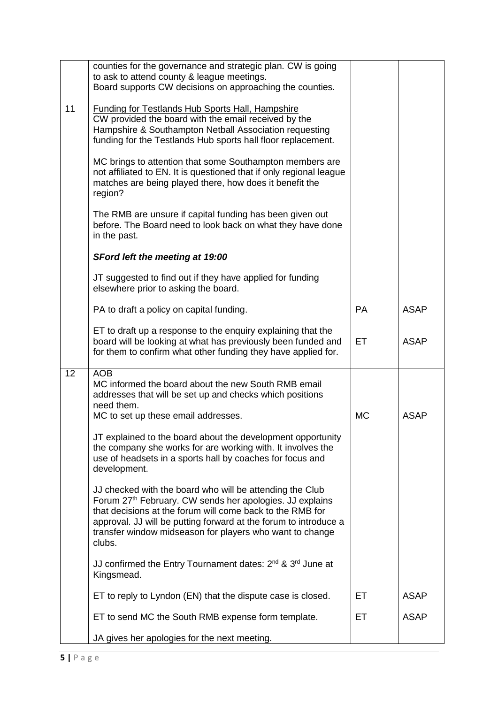|    | counties for the governance and strategic plan. CW is going<br>to ask to attend county & league meetings.<br>Board supports CW decisions on approaching the counties.                                                                                                                                                       |           |             |
|----|-----------------------------------------------------------------------------------------------------------------------------------------------------------------------------------------------------------------------------------------------------------------------------------------------------------------------------|-----------|-------------|
| 11 | <b>Funding for Testlands Hub Sports Hall, Hampshire</b><br>CW provided the board with the email received by the<br>Hampshire & Southampton Netball Association requesting<br>funding for the Testlands Hub sports hall floor replacement.                                                                                   |           |             |
|    | MC brings to attention that some Southampton members are<br>not affiliated to EN. It is questioned that if only regional league<br>matches are being played there, how does it benefit the<br>region?                                                                                                                       |           |             |
|    | The RMB are unsure if capital funding has been given out<br>before. The Board need to look back on what they have done<br>in the past.                                                                                                                                                                                      |           |             |
|    | <b>SFord left the meeting at 19:00</b>                                                                                                                                                                                                                                                                                      |           |             |
|    | JT suggested to find out if they have applied for funding<br>elsewhere prior to asking the board.                                                                                                                                                                                                                           |           |             |
|    | PA to draft a policy on capital funding.                                                                                                                                                                                                                                                                                    | <b>PA</b> | <b>ASAP</b> |
|    | ET to draft up a response to the enquiry explaining that the<br>board will be looking at what has previously been funded and<br>for them to confirm what other funding they have applied for.                                                                                                                               | ET        | <b>ASAP</b> |
| 12 | <b>AOB</b><br>MC informed the board about the new South RMB email<br>addresses that will be set up and checks which positions<br>need them.                                                                                                                                                                                 |           |             |
|    | MC to set up these email addresses.                                                                                                                                                                                                                                                                                         | <b>MC</b> | <b>ASAP</b> |
|    | JT explained to the board about the development opportunity<br>the company she works for are working with. It involves the<br>use of headsets in a sports hall by coaches for focus and<br>development.                                                                                                                     |           |             |
|    | JJ checked with the board who will be attending the Club<br>Forum 27th February. CW sends her apologies. JJ explains<br>that decisions at the forum will come back to the RMB for<br>approval. JJ will be putting forward at the forum to introduce a<br>transfer window midseason for players who want to change<br>clubs. |           |             |
|    | JJ confirmed the Entry Tournament dates: 2 <sup>nd</sup> & 3 <sup>rd</sup> June at<br>Kingsmead.                                                                                                                                                                                                                            |           |             |
|    | ET to reply to Lyndon (EN) that the dispute case is closed.                                                                                                                                                                                                                                                                 | ET        | <b>ASAP</b> |
|    | ET to send MC the South RMB expense form template.                                                                                                                                                                                                                                                                          | ET        | <b>ASAP</b> |
|    | JA gives her apologies for the next meeting.                                                                                                                                                                                                                                                                                |           |             |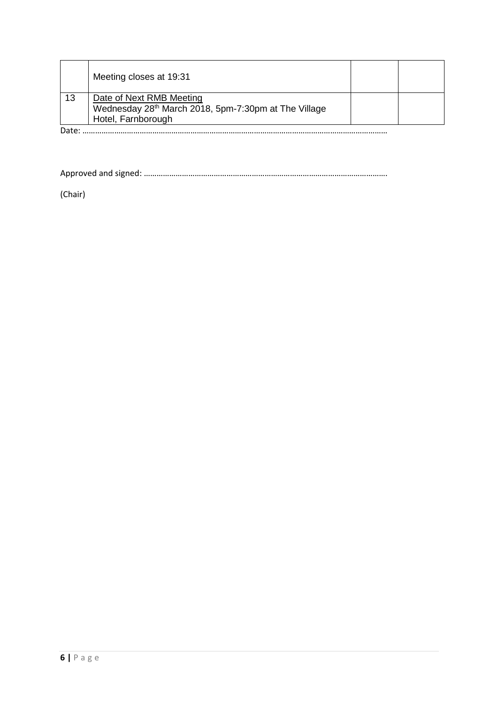|    | Meeting closes at 19:31                                                                      |  |
|----|----------------------------------------------------------------------------------------------|--|
| 13 | Date of Next RMB Meeting<br>Wednesday 28 <sup>th</sup> March 2018, 5pm-7:30pm at The Village |  |
|    | Hotel, Farnborough                                                                           |  |

Date: ………………………………………………………………………………………………………………………………

Approved and signed: …………………………………………………………………………………………………….

(Chair)